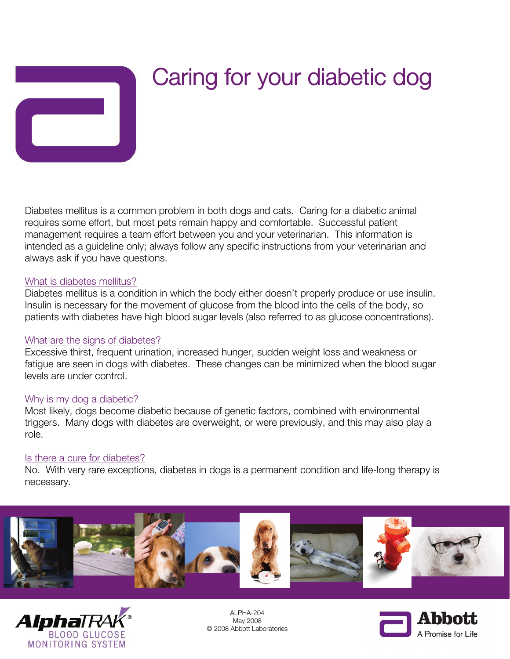

# Caring for your diabetic dog

Diabetes mellitus is a common problem in both dogs and cats. Caring for a diabetic animal requires some effort, but most pets remain happy and comfortable. Successful patient management requires a team effort between you and your veterinarian. This information is intended as a guideline only; always follow any specific instructions from your veterinarian and always ask if you have questions.

#### What is diabetes mellitus?

Diabetes mellitus is a condition in which the body either doesn't properly produce or use insulin. Insulin is necessary for the movement of glucose from the blood into the cells of the body, so patients with diabetes have high blood sugar levels (also referred to as glucose concentrations).

#### What are the signs of diabetes?

Excessive thirst, frequent urination, increased hunger, sudden weight loss and weakness or fatigue are seen in dogs with diabetes. These changes can be minimized when the blood sugar levels are under control.

#### Why is my dog a diabetic?

Most likely, dogs become diabetic because of genetic factors, combined with environmental triggers. Many dogs with diabetes are overweight, or were previously, and this may also play a role.

#### Is there a cure for diabetes?

No. With very rare exceptions, diabetes in dogs is a permanent condition and life-long therapy is necessary.





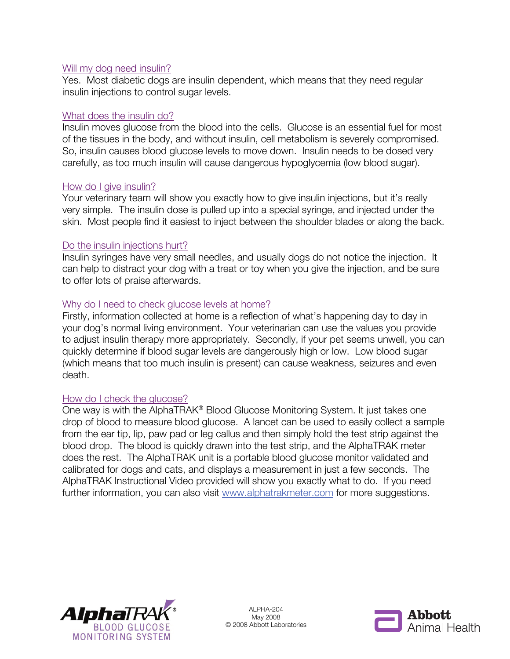## Will my dog need insulin?

Yes. Most diabetic dogs are insulin dependent, which means that they need regular insulin injections to control sugar levels.

## What does the insulin do?

Insulin moves glucose from the blood into the cells. Glucose is an essential fuel for most of the tissues in the body, and without insulin, cell metabolism is severely compromised. So, insulin causes blood glucose levels to move down. Insulin needs to be dosed very carefully, as too much insulin will cause dangerous hypoglycemia (low blood sugar).

## How do I give insulin?

Your veterinary team will show you exactly how to give insulin injections, but it's really very simple. The insulin dose is pulled up into a special syringe, and injected under the skin. Most people find it easiest to inject between the shoulder blades or along the back.

## Do the insulin injections hurt?

Insulin syringes have very small needles, and usually dogs do not notice the injection. It can help to distract your dog with a treat or toy when you give the injection, and be sure to offer lots of praise afterwards.

# Why do I need to check glucose levels at home?

Firstly, information collected at home is a reflection of what's happening day to day in your dog's normal living environment. Your veterinarian can use the values you provide to adjust insulin therapy more appropriately. Secondly, if your pet seems unwell, you can quickly determine if blood sugar levels are dangerously high or low. Low blood sugar (which means that too much insulin is present) can cause weakness, seizures and even death.

#### How do I check the glucose?

One way is with the AlphaTRAK® Blood Glucose Monitoring System. It just takes one drop of blood to measure blood glucose. A lancet can be used to easily collect a sample from the ear tip, lip, paw pad or leg callus and then simply hold the test strip against the blood drop. The blood is quickly drawn into the test strip, and the AlphaTRAK meter does the rest. The AlphaTRAK unit is a portable blood glucose monitor validated and calibrated for dogs and cats, and displays a measurement in just a few seconds. The AlphaTRAK Instructional Video provided will show you exactly what to do. If you need further information, you can also visit www.alphatrakmeter.com for more suggestions.



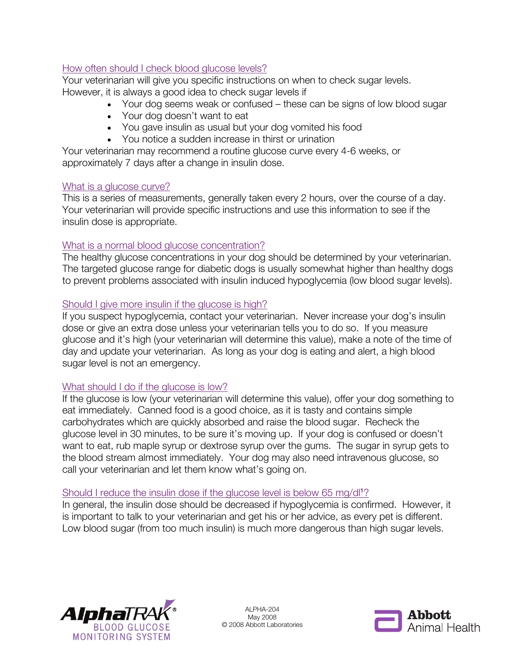# How often should I check blood glucose levels?

Your veterinarian will give you specific instructions on when to check sugar levels. However, it is always a good idea to check sugar levels if

- Your dog seems weak or confused these can be signs of low blood sugar
- Your dog doesn't want to eat
- You gave insulin as usual but your dog vomited his food
- You notice a sudden increase in thirst or urination

Your veterinarian may recommend a routine glucose curve every 4-6 weeks, or approximately 7 days after a change in insulin dose.

# What is a glucose curve?

This is a series of measurements, generally taken every 2 hours, over the course of a day. Your veterinarian will provide specific instructions and use this information to see if the insulin dose is appropriate.

# What is a normal blood glucose concentration?

The healthy glucose concentrations in your dog should be determined by your veterinarian. The targeted glucose range for diabetic dogs is usually somewhat higher than healthy dogs to prevent problems associated with insulin induced hypoglycemia (low blood sugar levels).

# Should I give more insulin if the glucose is high?

If you suspect hypoglycemia, contact your veterinarian. Never increase your dog's insulin dose or give an extra dose unless your veterinarian tells you to do so. If you measure glucose and it's high (your veterinarian will determine this value), make a note of the time of day and update your veterinarian. As long as your dog is eating and alert, a high blood sugar level is not an emergency.

# What should I do if the glucose is low?

If the glucose is low (your veterinarian will determine this value), offer your dog something to eat immediately. Canned food is a good choice, as it is tasty and contains simple carbohydrates which are quickly absorbed and raise the blood sugar. Recheck the glucose level in 30 minutes, to be sure it's moving up. If your dog is confused or doesn't want to eat, rub maple syrup or dextrose syrup over the gums. The sugar in syrup gets to the blood stream almost immediately. Your dog may also need intravenous glucose, so call your veterinarian and let them know what's going on.

# Should I reduce the insulin dose if the glucose level is below 65 mg/dl<sup>1</sup>?

In general, the insulin dose should be decreased if hypoglycemia is confirmed. However, it is important to talk to your veterinarian and get his or her advice, as every pet is different. Low blood sugar (from too much insulin) is much more dangerous than high sugar levels.